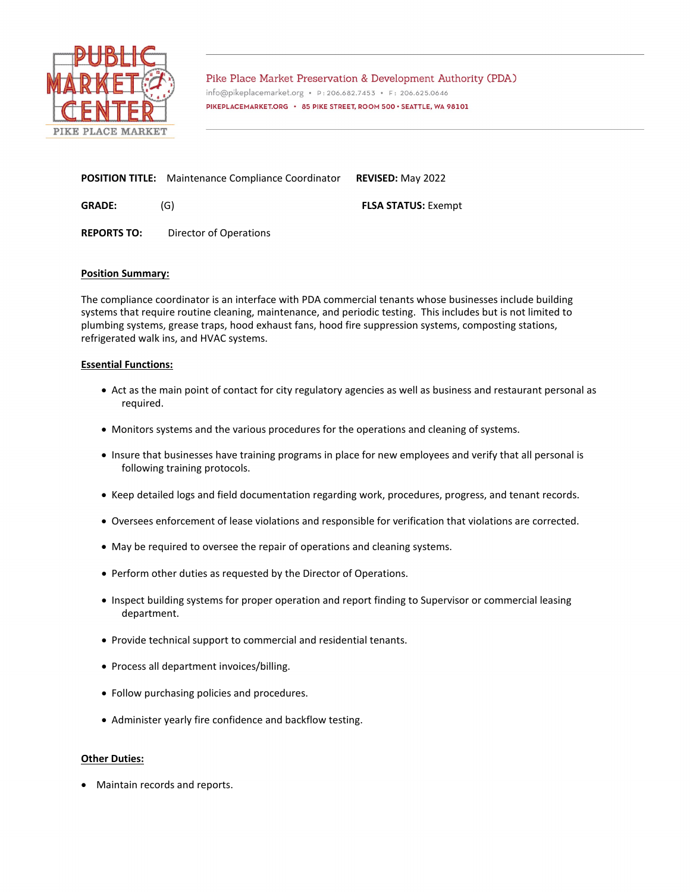

Pike Place Market Preservation & Development Authority (PDA) info@pikeplacemarket.org · P:206.682.7453 · F: 206.625.0646 PIKEPLACEMARKET.ORG · 85 PIKE STREET, ROOM 500 · SEATTLE, WA 98101

| <b>POSITION TITLE:</b> Maintenance Compliance Coordinator | <b>REVISED: May 2022</b> |
|-----------------------------------------------------------|--------------------------|
|                                                           |                          |

**GRADE:** (G) **FLSA STATUS:** Exempt

**REPORTS TO:** Director of Operations

# **Position Summary:**

The compliance coordinator is an interface with PDA commercial tenants whose businesses include building systems that require routine cleaning, maintenance, and periodic testing. This includes but is not limited to plumbing systems, grease traps, hood exhaust fans, hood fire suppression systems, composting stations, refrigerated walk ins, and HVAC systems.

# **Essential Functions:**

- Act as the main point of contact for city regulatory agencies as well as business and restaurant personal as required.
- Monitors systems and the various procedures for the operations and cleaning of systems.
- Insure that businesses have training programs in place for new employees and verify that all personal is following training protocols.
- Keep detailed logs and field documentation regarding work, procedures, progress, and tenant records.
- Oversees enforcement of lease violations and responsible for verification that violations are corrected.
- May be required to oversee the repair of operations and cleaning systems.
- Perform other duties as requested by the Director of Operations.
- Inspect building systems for proper operation and report finding to Supervisor or commercial leasing department.
- Provide technical support to commercial and residential tenants.
- Process all department invoices/billing.
- Follow purchasing policies and procedures.
- Administer yearly fire confidence and backflow testing.

# **Other Duties:**

• Maintain records and reports.